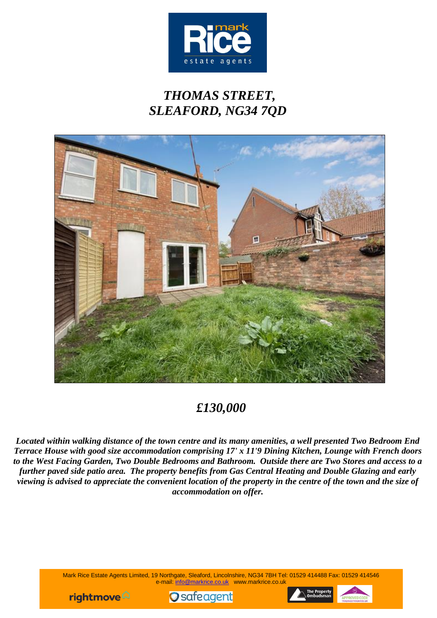

# *THOMAS STREET, SLEAFORD, NG34 7QD*



## *£130,000*

*Located within walking distance of the town centre and its many amenities, a well presented Two Bedroom End Terrace House with good size accommodation comprising 17' x 11'9 Dining Kitchen, Lounge with French doors to the West Facing Garden, Two Double Bedrooms and Bathroom. Outside there are Two Stores and access to a further paved side patio area. The property benefits from Gas Central Heating and Double Glazing and early viewing is advised to appreciate the convenient location of the property in the centre of the town and the size of accommodation on offer.*

> Mark Rice Estate Agents Limited, 19 Northgate, Sleaford, Lincolnshire, NG34 7BH Tel: 01529 414488 Fax: 01529 414546 e-mail: [info@markrice.co.uk](mailto:info@markrice.co.uk) www.markrice.co.uk





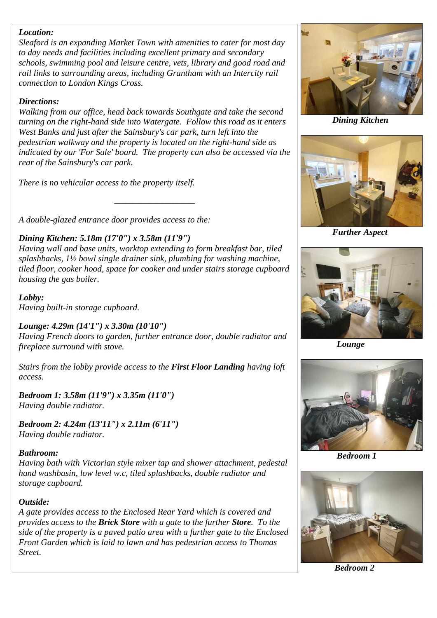#### *Location:*

*Sleaford is an expanding Market Town with amenities to cater for most day to day needs and facilities including excellent primary and secondary schools, swimming pool and leisure centre, vets, library and good road and rail links to surrounding areas, including Grantham with an Intercity rail connection to London Kings Cross.*

#### *Directions:*

*Walking from our office, head back towards Southgate and take the second turning on the right-hand side into Watergate. Follow this road as it enters West Banks and just after the Sainsbury's car park, turn left into the pedestrian walkway and the property is located on the right-hand side as indicated by our 'For Sale' board. The property can also be accessed via the rear of the Sainsbury's car park.* 

*There is no vehicular access to the property itself.*

*A double-glazed entrance door provides access to the:*

### *Dining Kitchen: 5.18m (17'0") x 3.58m (11'9")*

*Having wall and base units, worktop extending to form breakfast bar, tiled splashbacks, 1½ bowl single drainer sink, plumbing for washing machine, tiled floor, cooker hood, space for cooker and under stairs storage cupboard housing the gas boiler.*

*\_\_\_\_\_\_\_\_\_\_\_\_\_\_\_\_\_\_\_\_\_\_*

*Lobby: Having built-in storage cupboard.*

### *Lounge: 4.29m (14'1") x 3.30m (10'10")*

*Having French doors to garden, further entrance door, double radiator and fireplace surround with stove.*

*Stairs from the lobby provide access to the First Floor Landing having loft access.*

*Bedroom 1: 3.58m (11'9") x 3.35m (11'0") Having double radiator.*

*Bedroom 2: 4.24m (13'11") x 2.11m (6'11") Having double radiator.*

#### *Bathroom:*

*Having bath with Victorian style mixer tap and shower attachment, pedestal hand washbasin, low level w.c, tiled splashbacks, double radiator and storage cupboard.*

#### *Outside:*

*A gate provides access to the Enclosed Rear Yard which is covered and provides access to the Brick Store with a gate to the further Store. To the side of the property is a paved patio area with a further gate to the Enclosed Front Garden which is laid to lawn and has pedestrian access to Thomas Street.*



*Dining Kitchen*



*Further Aspect*



 *Lounge*



 *Bedroom 1*



 *Bedroom 2*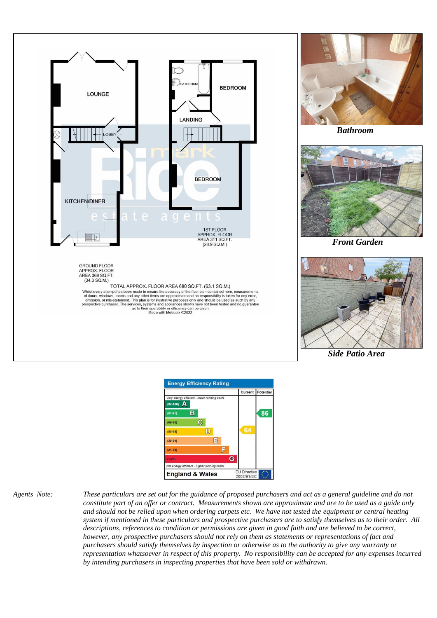



*Agents Note: These particulars are set out for the guidance of proposed purchasers and act as a general guideline and do not constitute part of an offer or contract. Measurements shown are approximate and are to be used as a guide only and should not be relied upon when ordering carpets etc. We have not tested the equipment or central heating system if mentioned in these particulars and prospective purchasers are to satisfy themselves as to their order. All descriptions, references to condition or permissions are given in good faith and are believed to be correct, however, any prospective purchasers should not rely on them as statements or representations of fact and purchasers should satisfy themselves by inspection or otherwise as to the authority to give any warranty or representation whatsoever in respect of this property. No responsibility can be accepted for any expenses incurred by intending purchasers in inspecting properties that have been sold or withdrawn.*



*Bathroom*



*Front Garden*



*Side Patio Area*